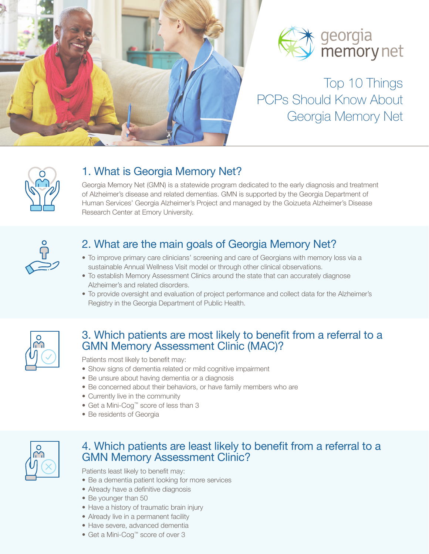



# Top 10 Things PCPs Should Know About Georgia Memory Net



# 1. What is Georgia Memory Net?

Georgia Memory Net (GMN) is a statewide program dedicated to the early diagnosis and treatment of Alzheimer's disease and related dementias. GMN is supported by the Georgia Department of Human Services' Georgia Alzheimer's Project and managed by the Goizueta Alzheimer's Disease Research Center at Emory University.



# 2. What are the main goals of Georgia Memory Net?

- To improve primary care clinicians' screening and care of Georgians with memory loss via a sustainable Annual Wellness Visit model or through other clinical observations.
- To establish Memory Assessment Clinics around the state that can accurately diagnose Alzheimer's and related disorders.
- To provide oversight and evaluation of project performance and collect data for the Alzheimer's Registry in the Georgia Department of Public Health.



## 3. Which patients are most likely to benefit from a referral to a GMN Memory Assessment Clinic (MAC)?

Patients most likely to benefit may:

- Show signs of dementia related or mild cognitive impairment
- Be unsure about having dementia or a diagnosis
- Be concerned about their behaviors, or have family members who are
- Currently live in the community
- Get a Mini-Cog™ score of less than 3
- Be residents of Georgia



#### 4. Which patients are least likely to benefit from a referral to a GMN Memory Assessment Clinic?

Patients least likely to benefit may:

- Be a dementia patient looking for more services
- Already have a definitive diagnosis
- Be younger than 50
- Have a history of traumatic brain injury
- Already live in a permanent facility
- Have severe, advanced dementia
- Get a Mini-Cog™ score of over 3